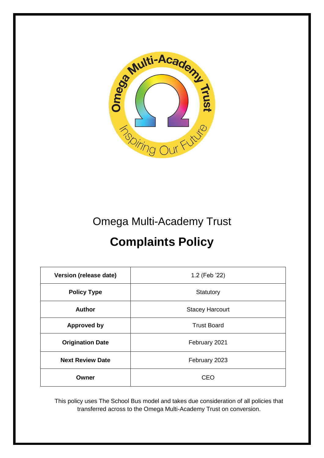

# Omega Multi-Academy Trust

# **Complaints Policy**

| <b>Version (release date)</b> | 1.2 (Feb '22)          |  |  |
|-------------------------------|------------------------|--|--|
| <b>Policy Type</b>            | Statutory              |  |  |
| <b>Author</b>                 | <b>Stacey Harcourt</b> |  |  |
| <b>Approved by</b>            | <b>Trust Board</b>     |  |  |
| <b>Origination Date</b>       | February 2021          |  |  |
| <b>Next Review Date</b>       | February 2023          |  |  |
| Owner                         | <b>CEO</b>             |  |  |

This policy uses The School Bus model and takes due consideration of all policies that transferred across to the Omega Multi-Academy Trust on conversion.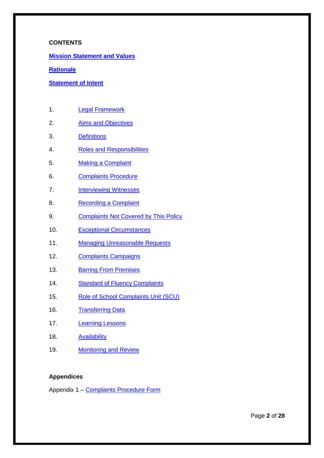#### **CONTENTS**

**[Mission Statement and Values](#page-2-0)**

#### **[Rationale](#page-5-0)**

#### **[Statement of Intent](#page-6-0)**

- 1. [Legal Framework](#page-6-1)
- 2. [Aims and Objectives](#page-7-0)
- 3. [Definitions](#page-8-0)
- 4. [Roles and Responsibilities](#page-9-0)
- 5. [Making a Complaint](#page-12-0)
- 6. [Complaints Procedure](#page-13-0)
- 7. [Interviewing Witnesses](#page-17-0)
- 8. [Recording a Complaint](#page-18-0)
- 9. [Complaints Not Covered by This Policy](#page-19-0)
- 10. [Exceptional Circumstances](#page-20-0)
- 11. [Managing Unreasonable Requests](#page-20-1)
- 12. [Complaints Campaigns](#page-22-0)
- 13. **[Barring From Premises](#page-22-1)**
- 14. [Standard of Fluency Complaints](#page-23-0)
- 15. [Role of School Complaints Unit \(SCU\)](#page-24-0)
- 16. [Transferring Data](#page-24-1)
- 17. [Learning Lessons](#page-24-2)
- 18. [Availability](#page-25-0)
- 19. [Monitoring and Review](#page-25-1)

#### **Appendices**

Appendix 1 – Complaints [Procedure Form](#page-26-0)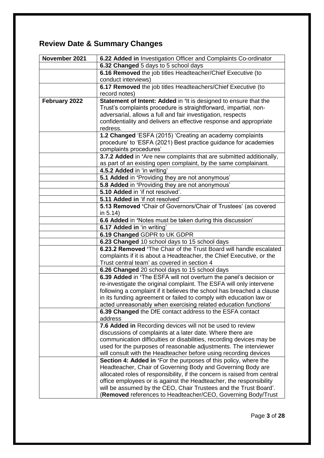# <span id="page-2-0"></span>**Review Date & Summary Changes**

| November 2021 |                                                                          |  |  |
|---------------|--------------------------------------------------------------------------|--|--|
|               | 6.22 Added in Investigation Officer and Complaints Co-ordinator          |  |  |
|               | 6.32 Changed 5 days to 5 school days                                     |  |  |
|               | 6.16 Removed the job titles Headteacher/Chief Executive (to              |  |  |
|               | conduct interviews)                                                      |  |  |
|               | 6.17 Removed the job titles Headteachers/Chief Executive (to             |  |  |
|               | record notes)                                                            |  |  |
| February 2022 | Statement of Intent: Added in 'It is designed to ensure that the         |  |  |
|               | Trust's complaints procedure is straightforward, impartial, non-         |  |  |
|               | adversarial, allows a full and fair investigation, respects              |  |  |
|               | confidentiality and delivers an effective response and appropriate       |  |  |
|               | redress.                                                                 |  |  |
|               | 1.2 Changed 'ESFA (2015) 'Creating an academy complaints                 |  |  |
|               | procedure' to 'ESFA (2021) Best practice guidance for academies          |  |  |
|               | complaints procedures'                                                   |  |  |
|               | 3.7.2 Added in 'Are new complaints that are submitted additionally,      |  |  |
|               | as part of an existing open complaint, by the same complainant.          |  |  |
|               | 4.5.2 Added in 'in writing'                                              |  |  |
|               | 5.1 Added in 'Providing they are not anonymous'                          |  |  |
|               | 5.8 Added in 'Providing they are not anonymous'                          |  |  |
|               | 5.10 Added in 'if not resolved'.                                         |  |  |
|               | 5.11 Added in 'if not resolved'                                          |  |  |
|               | 5.13 Removed 'Chair of Governors/Chair of Trustees' (as covered          |  |  |
|               | in 5.14)                                                                 |  |  |
|               | 6.6 Added in 'Notes must be taken during this discussion'                |  |  |
|               | 6.17 Added in 'in writing'                                               |  |  |
|               | 6.19 Changed GDPR to UK GDPR                                             |  |  |
|               | 6.23 Changed 10 school days to 15 school days                            |  |  |
|               | 6.23.2 Removed 'The Chair of the Trust Board will handle escalated       |  |  |
|               | complaints if it is about a Headteacher, the Chief Executive, or the     |  |  |
|               | Trust central team' as covered in section 4                              |  |  |
|               | 6.26 Changed 20 school days to 15 school days                            |  |  |
|               | 6.39 Added in 'The ESFA will not overturn the panel's decision or        |  |  |
|               | re-investigate the original complaint. The ESFA will only intervene      |  |  |
|               | following a complaint if it believes the school has breached a clause    |  |  |
|               | in its funding agreement or failed to comply with education law or       |  |  |
|               | acted unreasonably when exercising related education functions'          |  |  |
|               |                                                                          |  |  |
|               | 6.39 Changed the DfE contact address to the ESFA contact<br>address      |  |  |
|               |                                                                          |  |  |
|               | 7.6 Added in Recording devices will not be used to review                |  |  |
|               | discussions of complaints at a later date. Where there are               |  |  |
|               | communication difficulties or disabilities, recording devices may be     |  |  |
|               | used for the purposes of reasonable adjustments. The interviewer         |  |  |
|               | will consult with the Headteacher before using recording devices         |  |  |
|               | <b>Section 4: Added in 'For the purposes of this policy, where the</b>   |  |  |
|               | Headteacher, Chair of Governing Body and Governing Body are              |  |  |
|               | allocated roles of responsibility, if the concern is raised from central |  |  |
|               | office employees or is against the Headteacher, the responsibility       |  |  |
|               | will be assumed by the CEO, Chair Trustees and the Trust Board'.         |  |  |
|               | (Removed references to Headteacher/CEO, Governing Body/Trust             |  |  |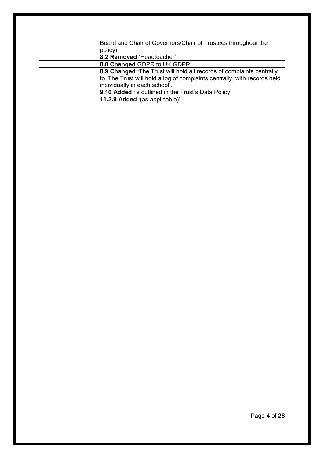| Board and Chair of Governors/Chair of Trustees throughout the<br>policy) |
|--------------------------------------------------------------------------|
| 8.2 Removed 'Headteacher'                                                |
| 8.8 Changed GDPR to UK GDPR                                              |
| 8.9 Changed 'The Trust will hold all records of complaints centrally'    |
| to 'The Trust will hold a log of complaints centrally, with records held |
| individually in each school'.                                            |
| 9.10 Added 'is outlined in the Trust's Data Policy'                      |
| 11.2.9 Added '(as applicable)'.                                          |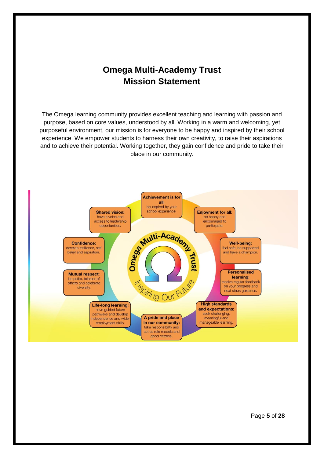# **Omega Multi-Academy Trust Mission Statement**

The Omega learning community provides excellent teaching and learning with passion and purpose, based on core values, understood by all. Working in a warm and welcoming, yet purposeful environment, our mission is for everyone to be happy and inspired by their school experience. We empower students to harness their own creativity, to raise their aspirations and to achieve their potential. Working together, they gain confidence and pride to take their place in our community.

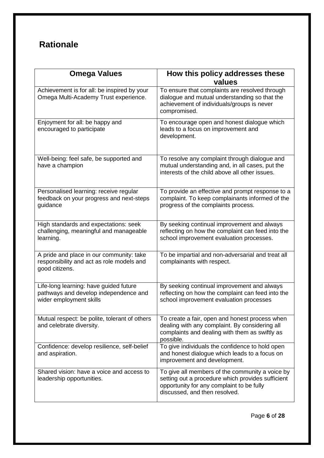# <span id="page-5-0"></span>**Rationale**

| <b>Omega Values</b>                                                                                        | How this policy addresses these<br>values                                                                                                                                          |  |  |
|------------------------------------------------------------------------------------------------------------|------------------------------------------------------------------------------------------------------------------------------------------------------------------------------------|--|--|
| Achievement is for all: be inspired by your<br>Omega Multi-Academy Trust experience.                       | To ensure that complaints are resolved through<br>dialogue and mutual understanding so that the<br>achievement of individuals/groups is never<br>compromised.                      |  |  |
| Enjoyment for all: be happy and<br>encouraged to participate                                               | To encourage open and honest dialogue which<br>leads to a focus on improvement and<br>development.                                                                                 |  |  |
| Well-being: feel safe, be supported and<br>have a champion                                                 | To resolve any complaint through dialogue and<br>mutual understanding and, in all cases, put the<br>interests of the child above all other issues.                                 |  |  |
| Personalised learning: receive regular<br>feedback on your progress and next-steps<br>guidance             | To provide an effective and prompt response to a<br>complaint. To keep complainants informed of the<br>progress of the complaints process.                                         |  |  |
| High standards and expectations: seek<br>challenging, meaningful and manageable<br>learning.               | By seeking continual improvement and always<br>reflecting on how the complaint can feed into the<br>school improvement evaluation processes.                                       |  |  |
| A pride and place in our community: take<br>responsibility and act as role models and<br>good citizens.    | To be impartial and non-adversarial and treat all<br>complainants with respect.                                                                                                    |  |  |
| Life-long learning: have guided future<br>pathways and develop independence and<br>wider employment skills | By seeking continual improvement and always<br>reflecting on how the complaint can feed into the<br>school improvement evaluation processes                                        |  |  |
| Mutual respect: be polite, tolerant of others<br>and celebrate diversity.                                  | To create a fair, open and honest process when<br>dealing with any complaint. By considering all<br>complaints and dealing with them as swiftly as<br>possible.                    |  |  |
| Confidence: develop resilience, self-belief<br>and aspiration.                                             | To give individuals the confidence to hold open<br>and honest dialogue which leads to a focus on<br>improvement and development.                                                   |  |  |
| Shared vision: have a voice and access to<br>leadership opportunities.                                     | To give all members of the community a voice by<br>setting out a procedure which provides sufficient<br>opportunity for any complaint to be fully<br>discussed, and then resolved. |  |  |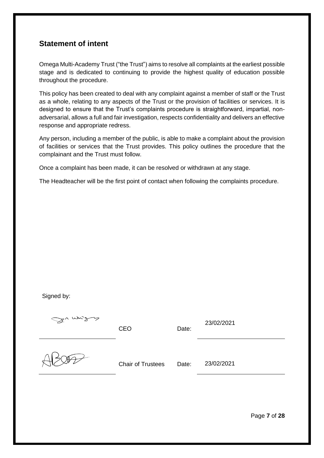# <span id="page-6-0"></span>**Statement of intent**

Omega Multi-Academy Trust ("the Trust") aims to resolve all complaints at the earliest possible stage and is dedicated to continuing to provide the highest quality of education possible throughout the procedure.

This policy has been created to deal with any complaint against a member of staff or the Trust as a whole, relating to any aspects of the Trust or the provision of facilities or services. It is designed to ensure that the Trust's complaints procedure is straightforward, impartial, nonadversarial, allows a full and fair investigation, respects confidentiality and delivers an effective response and appropriate redress.

Any person, including a member of the public, is able to make a complaint about the provision of facilities or services that the Trust provides. This policy outlines the procedure that the complainant and the Trust must follow.

Once a complaint has been made, it can be resolved or withdrawn at any stage.

The Headteacher will be the first point of contact when following the complaints procedure.

Signed by:

<span id="page-6-1"></span>

| Du midd | <b>CEO</b>               | Date: | 23/02/2021 |
|---------|--------------------------|-------|------------|
|         | <b>Chair of Trustees</b> | Date: | 23/02/2021 |

Page **7** of **28**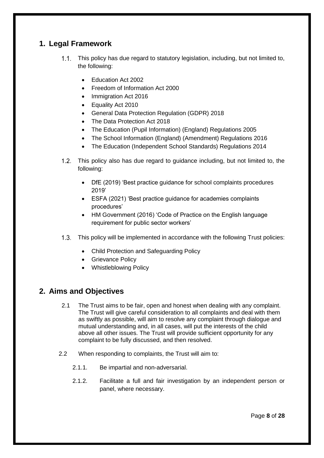# **1. Legal Framework**

- This policy has due regard to statutory legislation, including, but not limited to,  $1.1.$ the following:
	- Education Act 2002
	- Freedom of Information Act 2000
	- Immigration Act 2016
	- Equality Act 2010
	- General Data Protection Regulation (GDPR) 2018
	- The Data Protection Act 2018
	- The Education (Pupil Information) (England) Regulations 2005
	- The School Information (England) (Amendment) Regulations 2016
	- The Education (Independent School Standards) Regulations 2014
- 1.2. This policy also has due regard to guidance including, but not limited to, the following:
	- DfE (2019) 'Best practice guidance for school complaints procedures 2019'
	- ESFA (2021) 'Best practice guidance for academies complaints procedures'
	- HM Government (2016) 'Code of Practice on the English language requirement for public sector workers'
- 1.3. This policy will be implemented in accordance with the following Trust policies:
	- Child Protection and Safeguarding Policy
	- Grievance Policy
	- Whistleblowing Policy

# <span id="page-7-0"></span>**2. Aims and Objectives**

- 2.1 The Trust aims to be fair, open and honest when dealing with any complaint. The Trust will give careful consideration to all complaints and deal with them as swiftly as possible, will aim to resolve any complaint through dialogue and mutual understanding and, in all cases, will put the interests of the child above all other issues. The Trust will provide sufficient opportunity for any complaint to be fully discussed, and then resolved.
- 2.2 When responding to complaints, the Trust will aim to:
	- 2.1.1. Be impartial and non-adversarial.
	- 2.1.2. Facilitate a full and fair investigation by an independent person or panel, where necessary.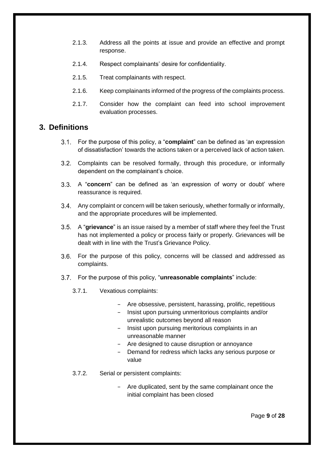- 2.1.3. Address all the points at issue and provide an effective and prompt response.
- 2.1.4. Respect complainants' desire for confidentiality.
- 2.1.5. Treat complainants with respect.
- 2.1.6. Keep complainants informed of the progress of the complaints process.
- 2.1.7. Consider how the complaint can feed into school improvement evaluation processes.

# <span id="page-8-0"></span>**3. Definitions**

- For the purpose of this policy, a "**complaint**" can be defined as 'an expression of dissatisfaction' towards the actions taken or a perceived lack of action taken.
- 3.2. Complaints can be resolved formally, through this procedure, or informally dependent on the complainant's choice.
- A "**concern**" can be defined as 'an expression of worry or doubt' where reassurance is required.
- Any complaint or concern will be taken seriously, whether formally or informally, and the appropriate procedures will be implemented.
- A "**grievance**" is an issue raised by a member of staff where they feel the Trust has not implemented a policy or process fairly or properly. Grievances will be dealt with in line with the Trust's Grievance Policy.
- For the purpose of this policy, concerns will be classed and addressed as complaints.
- For the purpose of this policy, "**unreasonable complaints**" include:
	- 3.7.1. Vexatious complaints:
		- − Are obsessive, persistent, harassing, prolific, repetitious
		- − Insist upon pursuing unmeritorious complaints and/or unrealistic outcomes beyond all reason
		- − Insist upon pursuing meritorious complaints in an unreasonable manner
		- − Are designed to cause disruption or annoyance
		- − Demand for redress which lacks any serious purpose or value
	- 3.7.2. Serial or persistent complaints:
		- − Are duplicated, sent by the same complainant once the initial complaint has been closed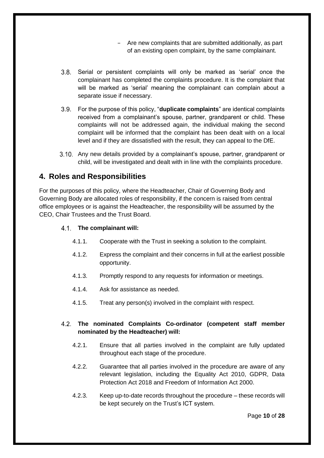− Are new complaints that are submitted additionally, as part of an existing open complaint, by the same complainant.

- Serial or persistent complaints will only be marked as 'serial' once the complainant has completed the complaints procedure. It is the complaint that will be marked as 'serial' meaning the complainant can complain about a separate issue if necessary.
- For the purpose of this policy, "**duplicate complaints**" are identical complaints received from a complainant's spouse, partner, grandparent or child. These complaints will not be addressed again, the individual making the second complaint will be informed that the complaint has been dealt with on a local level and if they are dissatisfied with the result, they can appeal to the DfE.
- Any new details provided by a complainant's spouse, partner, grandparent or child, will be investigated and dealt with in line with the complaints procedure.

# <span id="page-9-0"></span>**4. Roles and Responsibilities**

For the purposes of this policy, where the Headteacher, Chair of Governing Body and Governing Body are allocated roles of responsibility, if the concern is raised from central office employees or is against the Headteacher, the responsibility will be assumed by the CEO, Chair Trustees and the Trust Board.

#### **The complainant will:**

- 4.1.1. Cooperate with the Trust in seeking a solution to the complaint.
- 4.1.2. Express the complaint and their concerns in full at the earliest possible opportunity.
- 4.1.3. Promptly respond to any requests for information or meetings.
- 4.1.4. Ask for assistance as needed.
- 4.1.5. Treat any person(s) involved in the complaint with respect.

#### **The nominated Complaints Co-ordinator (competent staff member nominated by the Headteacher) will:**

- 4.2.1. Ensure that all parties involved in the complaint are fully updated throughout each stage of the procedure.
- 4.2.2. Guarantee that all parties involved in the procedure are aware of any relevant legislation, including the Equality Act 2010, GDPR, Data Protection Act 2018 and Freedom of Information Act 2000.
- 4.2.3. Keep up-to-date records throughout the procedure these records will be kept securely on the Trust's ICT system.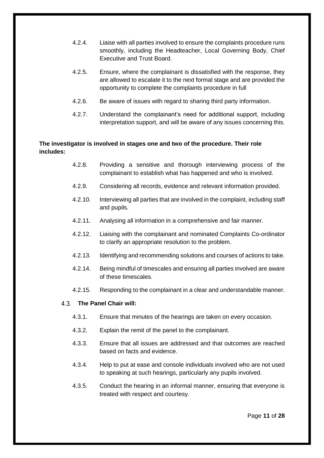- 4.2.4. Liaise with all parties involved to ensure the complaints procedure runs smoothly, including the Headteacher, Local Governing Body, Chief Executive and Trust Board.
- 4.2.5. Ensure, where the complainant is dissatisfied with the response, they are allowed to escalate it to the next formal stage and are provided the opportunity to complete the complaints procedure in full
- 4.2.6. Be aware of issues with regard to sharing third party information.
- 4.2.7. Understand the complainant's need for additional support, including interpretation support, and will be aware of any issues concerning this.

#### **The investigator is involved in stages one and two of the procedure. Their role includes:**

- 4.2.8. Providing a sensitive and thorough interviewing process of the complainant to establish what has happened and who is involved.
- 4.2.9. Considering all records, evidence and relevant information provided.
- 4.2.10. Interviewing all parties that are involved in the complaint, including staff and pupils.
- 4.2.11. Analysing all information in a comprehensive and fair manner.
- 4.2.12. Liaising with the complainant and nominated Complaints Co-ordinator to clarify an appropriate resolution to the problem.
- 4.2.13. Identifying and recommending solutions and courses of actions to take.
- 4.2.14. Being mindful of timescales and ensuring all parties involved are aware of these timescales.
- 4.2.15. Responding to the complainant in a clear and understandable manner.

#### **The Panel Chair will:**

- 4.3.1. Ensure that minutes of the hearings are taken on every occasion.
- 4.3.2. Explain the remit of the panel to the complainant.
- 4.3.3. Ensure that all issues are addressed and that outcomes are reached based on facts and evidence.
- 4.3.4. Help to put at ease and console individuals involved who are not used to speaking at such hearings, particularly any pupils involved.
- 4.3.5. Conduct the hearing in an informal manner, ensuring that everyone is treated with respect and courtesy.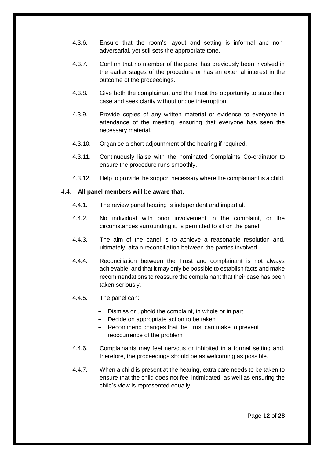- 4.3.6. Ensure that the room's layout and setting is informal and nonadversarial, yet still sets the appropriate tone.
- 4.3.7. Confirm that no member of the panel has previously been involved in the earlier stages of the procedure or has an external interest in the outcome of the proceedings.
- 4.3.8. Give both the complainant and the Trust the opportunity to state their case and seek clarity without undue interruption.
- 4.3.9. Provide copies of any written material or evidence to everyone in attendance of the meeting, ensuring that everyone has seen the necessary material.
- 4.3.10. Organise a short adjournment of the hearing if required.
- 4.3.11. Continuously liaise with the nominated Complaints Co-ordinator to ensure the procedure runs smoothly.
- 4.3.12. Help to provide the support necessary where the complainant is a child.

#### **All panel members will be aware that:**

- 4.4.1. The review panel hearing is independent and impartial.
- 4.4.2. No individual with prior involvement in the complaint, or the circumstances surrounding it, is permitted to sit on the panel.
- 4.4.3. The aim of the panel is to achieve a reasonable resolution and, ultimately, attain reconciliation between the parties involved.
- 4.4.4. Reconciliation between the Trust and complainant is not always achievable, and that it may only be possible to establish facts and make recommendations to reassure the complainant that their case has been taken seriously.
- 4.4.5. The panel can:
	- Dismiss or uphold the complaint, in whole or in part
	- Decide on appropriate action to be taken
	- Recommend changes that the Trust can make to prevent reoccurrence of the problem
- 4.4.6. Complainants may feel nervous or inhibited in a formal setting and, therefore, the proceedings should be as welcoming as possible.
- 4.4.7. When a child is present at the hearing, extra care needs to be taken to ensure that the child does not feel intimidated, as well as ensuring the child's view is represented equally.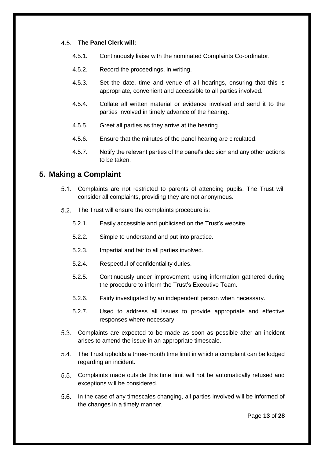#### **The Panel Clerk will:**

- 4.5.1. Continuously liaise with the nominated Complaints Co-ordinator.
- 4.5.2. Record the proceedings, in writing.
- 4.5.3. Set the date, time and venue of all hearings, ensuring that this is appropriate, convenient and accessible to all parties involved.
- 4.5.4. Collate all written material or evidence involved and send it to the parties involved in timely advance of the hearing.
- 4.5.5. Greet all parties as they arrive at the hearing.
- 4.5.6. Ensure that the minutes of the panel hearing are circulated.
- 4.5.7. Notify the relevant parties of the panel's decision and any other actions to be taken.

# <span id="page-12-0"></span>**5. Making a Complaint**

- Complaints are not restricted to parents of attending pupils. The Trust will consider all complaints, providing they are not anonymous.
- 5.2. The Trust will ensure the complaints procedure is:
	- 5.2.1. Easily accessible and publicised on the Trust's website.
	- 5.2.2. Simple to understand and put into practice.
	- 5.2.3. Impartial and fair to all parties involved.
	- 5.2.4. Respectful of confidentiality duties.
	- 5.2.5. Continuously under improvement, using information gathered during the procedure to inform the Trust's Executive Team.
	- 5.2.6. Fairly investigated by an independent person when necessary.
	- 5.2.7. Used to address all issues to provide appropriate and effective responses where necessary.
- Complaints are expected to be made as soon as possible after an incident arises to amend the issue in an appropriate timescale.
- The Trust upholds a three-month time limit in which a complaint can be lodged regarding an incident.
- Complaints made outside this time limit will not be automatically refused and exceptions will be considered.
- In the case of any timescales changing, all parties involved will be informed of the changes in a timely manner.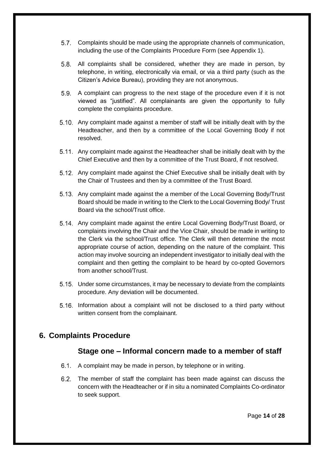- Complaints should be made using the appropriate channels of communication, including the use of the [Complaints Procedure Form](#page-26-1) (see Appendix 1).
- All complaints shall be considered, whether they are made in person, by telephone, in writing, electronically via email, or via a third party (such as the Citizen's Advice Bureau), providing they are not anonymous.
- A complaint can progress to the next stage of the procedure even if it is not viewed as "justified". All complainants are given the opportunity to fully complete the complaints procedure.
- Any complaint made against a member of staff will be initially dealt with by the Headteacher, and then by a committee of the Local Governing Body if not resolved.
- 5.11. Any complaint made against the Headteacher shall be initially dealt with by the Chief Executive and then by a committee of the Trust Board, if not resolved.
- 5.12. Any complaint made against the Chief Executive shall be initially dealt with by the Chair of Trustees and then by a committee of the Trust Board.
- 5.13. Any complaint made against the a member of the Local Governing Body/Trust Board should be made in writing to the Clerk to the Local Governing Body/ Trust Board via the school/Trust office.
- 5.14. Any complaint made against the entire Local Governing Body/Trust Board, or complaints involving the Chair and the Vice Chair, should be made in writing to the Clerk via the school/Trust office. The Clerk will then determine the most appropriate course of action, depending on the nature of the complaint. This action may involve sourcing an independent investigator to initially deal with the complaint and then getting the complaint to be heard by co-opted Governors from another school/Trust.
- 5.15. Under some circumstances, it may be necessary to deviate from the complaints procedure. Any deviation will be documented.
- Information about a complaint will not be disclosed to a third party without written consent from the complainant.

# <span id="page-13-0"></span>**6. Complaints Procedure**

# **Stage one – Informal concern made to a member of staff**

- 6.1. A complaint may be made in person, by telephone or in writing.
- The member of staff the complaint has been made against can discuss the concern with the Headteacher or if in situ a nominated Complaints Co-ordinator to seek support.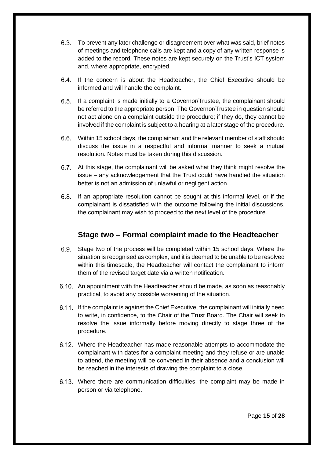- To prevent any later challenge or disagreement over what was said, brief notes of meetings and telephone calls are kept and a copy of any written response is added to the record. These notes are kept securely on the Trust's ICT system and, where appropriate, encrypted.
- 6.4. If the concern is about the Headteacher, the Chief Executive should be informed and will handle the complaint.
- If a complaint is made initially to a Governor/Trustee, the complainant should be referred to the appropriate person. The Governor/Trustee in question should not act alone on a complaint outside the procedure; if they do, they cannot be involved if the complaint is subject to a hearing at a later stage of the procedure.
- Within 15 school days, the complainant and the relevant member of staff should discuss the issue in a respectful and informal manner to seek a mutual resolution. Notes must be taken during this discussion.
- 6.7. At this stage, the complainant will be asked what they think might resolve the issue – any acknowledgement that the Trust could have handled the situation better is not an admission of unlawful or negligent action.
- 6.8. If an appropriate resolution cannot be sought at this informal level, or if the complainant is dissatisfied with the outcome following the initial discussions, the complainant may wish to proceed to the next level of the procedure.

# **Stage two – Formal complaint made to the Headteacher**

- Stage two of the process will be completed within 15 school days. Where the situation is recognised as complex, and it is deemed to be unable to be resolved within this timescale, the Headteacher will contact the complainant to inform them of the revised target date via a written notification.
- An appointment with the Headteacher should be made, as soon as reasonably practical, to avoid any possible worsening of the situation.
- If the complaint is against the Chief Executive, the complainant will initially need to write, in confidence, to the Chair of the Trust Board. The Chair will seek to resolve the issue informally before moving directly to stage three of the procedure.
- Where the Headteacher has made reasonable attempts to accommodate the complainant with dates for a complaint meeting and they refuse or are unable to attend, the meeting will be convened in their absence and a conclusion will be reached in the interests of drawing the complaint to a close.
- Where there are communication difficulties, the complaint may be made in person or via telephone.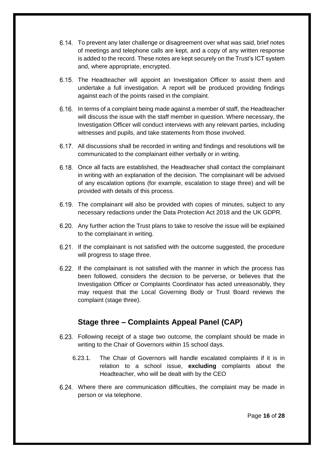- To prevent any later challenge or disagreement over what was said, brief notes of meetings and telephone calls are kept, and a copy of any written response is added to the record. These notes are kept securely on the Trust's ICT system and, where appropriate, encrypted.
- 6.15. The Headteacher will appoint an Investigation Officer to assist them and undertake a full investigation. A report will be produced providing findings against each of the points raised in the complaint.
- In terms of a complaint being made against a member of staff, the Headteacher will discuss the issue with the staff member in question. Where necessary, the Investigation Officer will conduct interviews with any relevant parties, including witnesses and pupils, and take statements from those involved.
- All discussions shall be recorded in writing and findings and resolutions will be communicated to the complainant either verbally or in writing.
- Once all facts are established, the Headteacher shall contact the complainant in writing with an explanation of the decision. The complainant will be advised of any escalation options (for example, escalation to stage three) and will be provided with details of this process.
- 6.19. The complainant will also be provided with copies of minutes, subject to any necessary redactions under the Data Protection Act 2018 and the UK GDPR.
- Any further action the Trust plans to take to resolve the issue will be explained to the complainant in writing.
- 6.21. If the complainant is not satisfied with the outcome suggested, the procedure will progress to stage three.
- 6.22. If the complainant is not satisfied with the manner in which the process has been followed, considers the decision to be perverse, or believes that the Investigation Officer or Complaints Coordinator has acted unreasonably, they may request that the Local Governing Body or Trust Board reviews the complaint (stage three).

# **Stage three – Complaints Appeal Panel (CAP)**

- Following receipt of a stage two outcome, the complaint should be made in writing to the Chair of Governors within 15 school days.
	- 6.23.1. The Chair of Governors will handle escalated complaints if it is in relation to a school issue, **excluding** complaints about the Headteacher, who will be dealt with by the CEO
- Where there are communication difficulties, the complaint may be made in person or via telephone.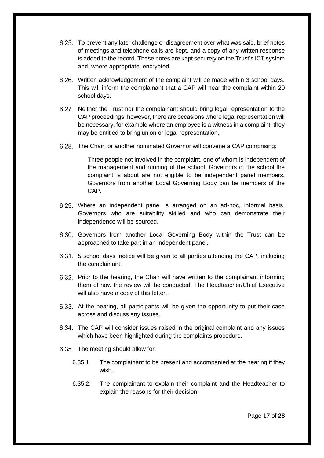- To prevent any later challenge or disagreement over what was said, brief notes of meetings and telephone calls are kept, and a copy of any written response is added to the record. These notes are kept securely on the Trust's ICT system and, where appropriate, encrypted.
- Written acknowledgement of the complaint will be made within 3 school days. This will inform the complainant that a CAP will hear the complaint within 20 school days.
- 6.27. Neither the Trust nor the complainant should bring legal representation to the CAP proceedings; however, there are occasions where legal representation will be necessary, for example where an employee is a witness in a complaint, they may be entitled to bring union or legal representation.
- The Chair, or another nominated Governor will convene a CAP comprising:

Three people not involved in the complaint, one of whom is independent of the management and running of the school. Governors of the school the complaint is about are not eligible to be independent panel members. Governors from another Local Governing Body can be members of the CAP.

- Where an independent panel is arranged on an ad-hoc, informal basis, Governors who are suitability skilled and who can demonstrate their independence will be sourced.
- 6.30. Governors from another Local Governing Body within the Trust can be approached to take part in an independent panel.
- 5 school days' notice will be given to all parties attending the CAP, including the complainant.
- 6.32. Prior to the hearing, the Chair will have written to the complainant informing them of how the review will be conducted. The Headteacher/Chief Executive will also have a copy of this letter.
- 6.33. At the hearing, all participants will be given the opportunity to put their case across and discuss any issues.
- The CAP will consider issues raised in the original complaint and any issues which have been highlighted during the complaints procedure.
- 6.35. The meeting should allow for:
	- 6.35.1. The complainant to be present and accompanied at the hearing if they wish.
	- 6.35.2. The complainant to explain their complaint and the Headteacher to explain the reasons for their decision.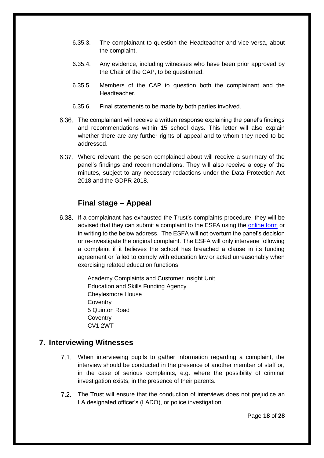- 6.35.3. The complainant to question the Headteacher and vice versa, about the complaint.
- 6.35.4. Any evidence, including witnesses who have been prior approved by the Chair of the CAP, to be questioned.
- 6.35.5. Members of the CAP to question both the complainant and the Headteacher.
- 6.35.6. Final statements to be made by both parties involved.
- The complainant will receive a written response explaining the panel's findings and recommendations within 15 school days. This letter will also explain whether there are any further rights of appeal and to whom they need to be addressed.
- Where relevant, the person complained about will receive a summary of the panel's findings and recommendations. They will also receive a copy of the minutes, subject to any necessary redactions under the Data Protection Act 2018 and the GDPR 2018.

# **Final stage – Appeal**

If a complainant has exhausted the Trust's complaints procedure, they will be advised that they can submit a complaint to the ESFA using the [online form](https://form.education.gov.uk/en/AchieveForms/?form_uri=sandbox-publish://AF-Process-f1453496-7d8a-463f-9f33-1da2ac47ed76/AF-Stage-1e64d4cc-25fb-499a-a8d7-74e98203ac00/definition.json&redirectlink=%2Fen&cancelRedirectLink=%2Fen) or in writing to the below address. The ESFA will not overturn the panel's decision or re-investigate the original complaint. The ESFA will only intervene following a complaint if it believes the school has breached a clause in its funding agreement or failed to comply with education law or acted unreasonably when exercising related education functions

> Academy Complaints and Customer Insight Unit Education and Skills Funding Agency Cheylesmore House **Coventry** 5 Quinton Road **Coventry** CV1 2WT

# <span id="page-17-0"></span>**7. Interviewing Witnesses**

- When interviewing pupils to gather information regarding a complaint, the interview should be conducted in the presence of another member of staff or, in the case of serious complaints, e.g. where the possibility of criminal investigation exists, in the presence of their parents.
- $7.2$ The Trust will ensure that the conduction of interviews does not prejudice an LA designated officer's (LADO), or police investigation.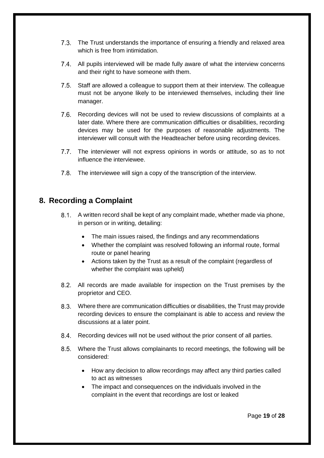- 7.3. The Trust understands the importance of ensuring a friendly and relaxed area which is free from intimidation.
- All pupils interviewed will be made fully aware of what the interview concerns and their right to have someone with them.
- $7.5.$ Staff are allowed a colleague to support them at their interview. The colleague must not be anyone likely to be interviewed themselves, including their line manager.
- 7.6. Recording devices will not be used to review discussions of complaints at a later date. Where there are communication difficulties or disabilities, recording devices may be used for the purposes of reasonable adjustments. The interviewer will consult with the Headteacher before using recording devices.
- 7.7. The interviewer will not express opinions in words or attitude, so as to not influence the interviewee.
- The interviewee will sign a copy of the transcription of the interview.

# <span id="page-18-0"></span>**8. Recording a Complaint**

- A written record shall be kept of any complaint made, whether made via phone, in person or in writing, detailing:
	- The main issues raised, the findings and any recommendations
	- Whether the complaint was resolved following an informal route, formal route or panel hearing
	- Actions taken by the Trust as a result of the complaint (regardless of whether the complaint was upheld)
- All records are made available for inspection on the Trust premises by the proprietor and CEO.
- Where there are communication difficulties or disabilities, the Trust may provide recording devices to ensure the complainant is able to access and review the discussions at a later point.
- 8.4. Recording devices will not be used without the prior consent of all parties.
- Where the Trust allows complainants to record meetings, the following will be considered:
	- How any decision to allow recordings may affect any third parties called to act as witnesses
	- The impact and consequences on the individuals involved in the complaint in the event that recordings are lost or leaked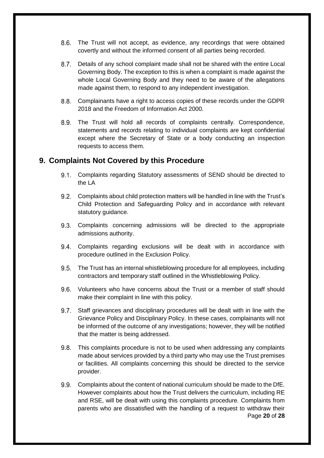- 8.6. The Trust will not accept, as evidence, any recordings that were obtained covertly and without the informed consent of all parties being recorded.
- $8.7.$ Details of any school complaint made shall not be shared with the entire Local Governing Body. The exception to this is when a complaint is made against the whole Local Governing Body and they need to be aware of the allegations made against them, to respond to any independent investigation.
- Complainants have a right to access copies of these records under the GDPR 2018 and the Freedom of Information Act 2000.
- The Trust will hold all records of complaints centrally. Correspondence, statements and records relating to individual complaints are kept confidential except where the Secretary of State or a body conducting an inspection requests to access them.

# <span id="page-19-0"></span>**9. Complaints Not Covered by this Procedure**

- Complaints regarding Statutory assessments of SEND should be directed to the LA
- Complaints about child protection matters will be handled in line with the Trust's Child Protection and Safeguarding Policy and in accordance with relevant statutory guidance.
- Complaints concerning admissions will be directed to the appropriate admissions authority.
- 9.4. Complaints regarding exclusions will be dealt with in accordance with procedure outlined in the Exclusion Policy.
- The Trust has an internal whistleblowing procedure for all employees, including contractors and temporary staff outlined in the Whistleblowing Policy.
- Volunteers who have concerns about the Trust or a member of staff should make their complaint in line with this policy.
- 9.7. Staff grievances and disciplinary procedures will be dealt with in line with the Grievance Policy and Disciplinary Policy. In these cases, complainants will not be informed of the outcome of any investigations; however, they will be notified that the matter is being addressed.
- This complaints procedure is not to be used when addressing any complaints  $9.8.$ made about services provided by a third party who may use the Trust premises or facilities. All complaints concerning this should be directed to the service provider.
- Page **20** of **28** Complaints about the content of national curriculum should be made to the DfE. However complaints about how the Trust delivers the curriculum, including RE and RSE, will be dealt with using this complaints procedure. Complaints from parents who are dissatisfied with the handling of a request to withdraw their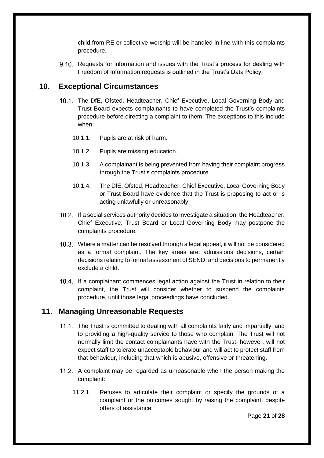child from RE or collective worship will be handled in line with this complaints procedure.

9.10. Requests for information and issues with the Trust's process for dealing with Freedom of Information requests is outlined in the Trust's Data Policy.

### <span id="page-20-0"></span>**10. Exceptional Circumstances**

- 10.1. The DfE, Ofsted, Headteacher, Chief Executive, Local Governing Body and Trust Board expects complainants to have completed the Trust's complaints procedure before directing a complaint to them. The exceptions to this include when:
	- 10.1.1. Pupils are at risk of harm.
	- 10.1.2. Pupils are missing education.
	- 10.1.3. A complainant is being prevented from having their complaint progress through the Trust's complaints procedure.
	- 10.1.4. The DfE, Ofsted, Headteacher, Chief Executive, Local Governing Body or Trust Board have evidence that the Trust is proposing to act or is acting unlawfully or unreasonably.
- 10.2. If a social services authority decides to investigate a situation, the Headteacher, Chief Executive, Trust Board or Local Governing Body may postpone the complaints procedure.
- Where a matter can be resolved through a legal appeal, it will not be considered as a formal complaint. The key areas are: admissions decisions, certain decisions relating to formal assessment of SEND, and decisions to permanently exclude a child.
- 10.4. If a complainant commences legal action against the Trust in relation to their complaint, the Trust will consider whether to suspend the complaints procedure, until those legal proceedings have concluded.

# <span id="page-20-1"></span>**11. Managing Unreasonable Requests**

- 11.1. The Trust is committed to dealing with all complaints fairly and impartially, and to providing a high-quality service to those who complain. The Trust will not normally limit the contact complainants have with the Trust; however, will not expect staff to tolerate unacceptable behaviour and will act to protect staff from that behaviour, including that which is abusive, offensive or threatening.
- 11.2. A complaint may be regarded as unreasonable when the person making the complaint:
	- 11.2.1. Refuses to articulate their complaint or specify the grounds of a complaint or the outcomes sought by raising the complaint, despite offers of assistance.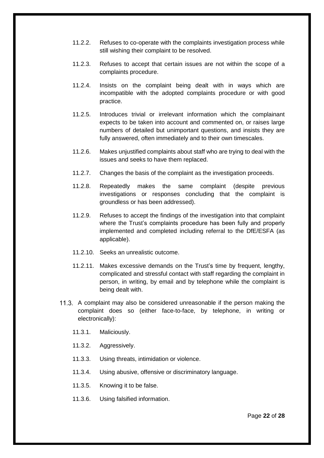- 11.2.2. Refuses to co-operate with the complaints investigation process while still wishing their complaint to be resolved.
- 11.2.3. Refuses to accept that certain issues are not within the scope of a complaints procedure.
- 11.2.4. Insists on the complaint being dealt with in ways which are incompatible with the adopted complaints procedure or with good practice.
- 11.2.5. Introduces trivial or irrelevant information which the complainant expects to be taken into account and commented on, or raises large numbers of detailed but unimportant questions, and insists they are fully answered, often immediately and to their own timescales.
- 11.2.6. Makes unjustified complaints about staff who are trying to deal with the issues and seeks to have them replaced.
- 11.2.7. Changes the basis of the complaint as the investigation proceeds.
- 11.2.8. Repeatedly makes the same complaint (despite previous investigations or responses concluding that the complaint is groundless or has been addressed).
- 11.2.9. Refuses to accept the findings of the investigation into that complaint where the Trust's complaints procedure has been fully and properly implemented and completed including referral to the DfE/ESFA (as applicable).
- 11.2.10. Seeks an unrealistic outcome.
- 11.2.11. Makes excessive demands on the Trust's time by frequent, lengthy, complicated and stressful contact with staff regarding the complaint in person, in writing, by email and by telephone while the complaint is being dealt with.
- 11.3. A complaint may also be considered unreasonable if the person making the complaint does so (either face-to-face, by telephone, in writing or electronically):
	- 11.3.1. Maliciously.
	- 11.3.2. Aggressively.
	- 11.3.3. Using threats, intimidation or violence.
	- 11.3.4. Using abusive, offensive or discriminatory language.
	- 11.3.5. Knowing it to be false.
	- 11.3.6. Using falsified information.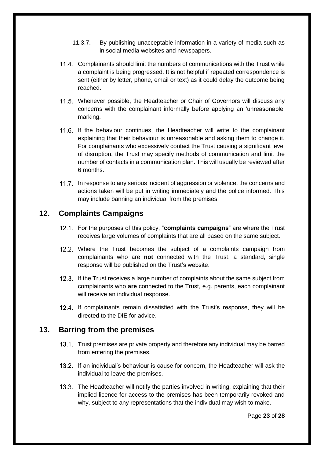- 11.3.7. By publishing unacceptable information in a variety of media such as in social media websites and newspapers.
- Complainants should limit the numbers of communications with the Trust while a complaint is being progressed. It is not helpful if repeated correspondence is sent (either by letter, phone, email or text) as it could delay the outcome being reached.
- Whenever possible, the Headteacher or Chair of Governors will discuss any concerns with the complainant informally before applying an 'unreasonable' marking.
- If the behaviour continues, the Headteacher will write to the complainant explaining that their behaviour is unreasonable and asking them to change it. For complainants who excessively contact the Trust causing a significant level of disruption, the Trust may specify methods of communication and limit the number of contacts in a communication plan. This will usually be reviewed after 6 months.
- 11.7. In response to any serious incident of aggression or violence, the concerns and actions taken will be put in writing immediately and the police informed. This may include banning an individual from the premises.

# <span id="page-22-0"></span>**12. Complaints Campaigns**

- For the purposes of this policy, "**complaints campaigns**" are where the Trust receives large volumes of complaints that are all based on the same subject.
- 12.2. Where the Trust becomes the subject of a complaints campaign from complainants who are **not** connected with the Trust, a standard, single response will be published on the Trust's website.
- 12.3. If the Trust receives a large number of complaints about the same subject from complainants who **are** connected to the Trust, e.g. parents, each complainant will receive an individual response.
- 12.4. If complainants remain dissatisfied with the Trust's response, they will be directed to the DfE for advice.

# <span id="page-22-1"></span>**13. Barring from the premises**

- 13.1. Trust premises are private property and therefore any individual may be barred from entering the premises.
- If an individual's behaviour is cause for concern, the Headteacher will ask the individual to leave the premises.
- 13.3. The Headteacher will notify the parties involved in writing, explaining that their implied licence for access to the premises has been temporarily revoked and why, subject to any representations that the individual may wish to make.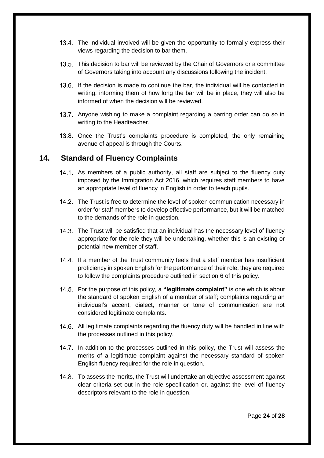- The individual involved will be given the opportunity to formally express their views regarding the decision to bar them.
- 13.5. This decision to bar will be reviewed by the Chair of Governors or a committee of Governors taking into account any discussions following the incident.
- 13.6. If the decision is made to continue the bar, the individual will be contacted in writing, informing them of how long the bar will be in place, they will also be informed of when the decision will be reviewed.
- 13.7. Anyone wishing to make a complaint regarding a barring order can do so in writing to the Headteacher.
- 13.8. Once the Trust's complaints procedure is completed, the only remaining avenue of appeal is through the Courts.

#### <span id="page-23-0"></span>**14. Standard of Fluency Complaints**

- 14.1. As members of a public authority, all staff are subject to the fluency duty imposed by the Immigration Act 2016, which requires staff members to have an appropriate level of fluency in English in order to teach pupils.
- 14.2. The Trust is free to determine the level of spoken communication necessary in order for staff members to develop effective performance, but it will be matched to the demands of the role in question.
- 14.3. The Trust will be satisfied that an individual has the necessary level of fluency appropriate for the role they will be undertaking, whether this is an existing or potential new member of staff.
- 14.4. If a member of the Trust community feels that a staff member has insufficient proficiency in spoken English for the performance of their role, they are required to follow the complaints procedure outlined in section 6 of this policy.
- For the purpose of this policy, a **"legitimate complaint"** is one which is about the standard of spoken English of a member of staff; complaints regarding an individual's accent, dialect, manner or tone of communication are not considered legitimate complaints.
- 14.6. All legitimate complaints regarding the fluency duty will be handled in line with the processes outlined in this policy.
- 14.7. In addition to the processes outlined in this policy, the Trust will assess the merits of a legitimate complaint against the necessary standard of spoken English fluency required for the role in question.
- 14.8. To assess the merits, the Trust will undertake an objective assessment against clear criteria set out in the role specification or, against the level of fluency descriptors relevant to the role in question.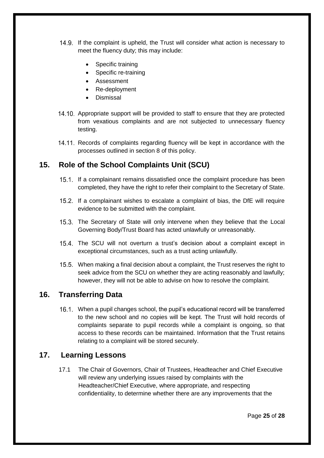- 14.9. If the complaint is upheld, the Trust will consider what action is necessary to meet the fluency duty; this may include:
	- Specific training
	- Specific re-training
	- **Assessment**
	- Re-deployment
	- Dismissal
- 14.10. Appropriate support will be provided to staff to ensure that they are protected from vexatious complaints and are not subjected to unnecessary fluency testing.
- 14.11. Records of complaints regarding fluency will be kept in accordance with the processes outlined in section 8 of this policy.

# <span id="page-24-0"></span>**15. Role of the School Complaints Unit (SCU)**

- 15.1. If a complainant remains dissatisfied once the complaint procedure has been completed, they have the right to refer their complaint to the Secretary of State.
- If a complainant wishes to escalate a complaint of bias, the DfE will require evidence to be submitted with the complaint.
- 15.3. The Secretary of State will only intervene when they believe that the Local Governing Body/Trust Board has acted unlawfully or unreasonably.
- 15.4. The SCU will not overturn a trust's decision about a complaint except in exceptional circumstances, such as a trust acting unlawfully.
- 15.5. When making a final decision about a complaint, the Trust reserves the right to seek advice from the SCU on whether they are acting reasonably and lawfully; however, they will not be able to advise on how to resolve the complaint.

# <span id="page-24-1"></span>**16. Transferring Data**

When a pupil changes school, the pupil's educational record will be transferred to the new school and no copies will be kept. The Trust will hold records of complaints separate to pupil records while a complaint is ongoing, so that access to these records can be maintained. Information that the Trust retains relating to a complaint will be stored securely.

# <span id="page-24-2"></span>**17. Learning Lessons**

17.1 The Chair of Governors, Chair of Trustees, Headteacher and Chief Executive will review any underlying issues raised by complaints with the Headteacher/Chief Executive, where appropriate, and respecting confidentiality, to determine whether there are any improvements that the

Page **25** of **28**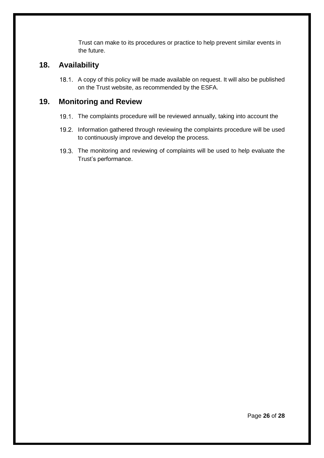Trust can make to its procedures or practice to help prevent similar events in the future.

# <span id="page-25-0"></span>**18. Availability**

18.1. A copy of this policy will be made available on request. It will also be published on the Trust website, as recommended by the ESFA.

# <span id="page-25-1"></span>**19. Monitoring and Review**

- 19.1. The complaints procedure will be reviewed annually, taking into account the
- 19.2. Information gathered through reviewing the complaints procedure will be used to continuously improve and develop the process.
- 19.3. The monitoring and reviewing of complaints will be used to help evaluate the Trust's performance.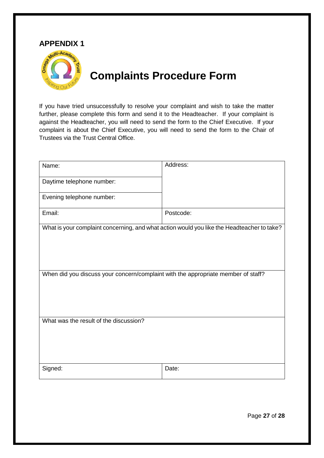# <span id="page-26-1"></span>**APPENDIX 1**

<span id="page-26-0"></span>

# **Complaints Procedure Form**

If you have tried unsuccessfully to resolve your complaint and wish to take the matter further, please complete this form and send it to the Headteacher. If your complaint is against the Headteacher, you will need to send the form to the Chief Executive. If your complaint is about the Chief Executive, you will need to send the form to the Chair of Trustees via the Trust Central Office.

| Name:                                                                             | Address:                                                                                   |  |  |
|-----------------------------------------------------------------------------------|--------------------------------------------------------------------------------------------|--|--|
| Daytime telephone number:                                                         |                                                                                            |  |  |
| Evening telephone number:                                                         |                                                                                            |  |  |
| Email:                                                                            | Postcode:                                                                                  |  |  |
|                                                                                   | What is your complaint concerning, and what action would you like the Headteacher to take? |  |  |
| When did you discuss your concern/complaint with the appropriate member of staff? |                                                                                            |  |  |
| What was the result of the discussion?                                            |                                                                                            |  |  |
| Signed:                                                                           | Date:                                                                                      |  |  |